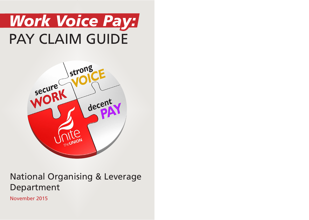# *Work Voice Pay:* PAY CLAIM GUIDE



# National Organising & Leverage Department

November 2015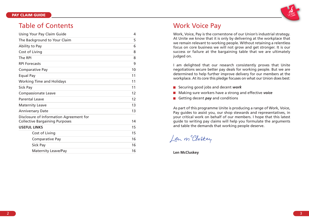

### Table of Contents

| Using Your Pay Claim Guide                                                       | 4  |
|----------------------------------------------------------------------------------|----|
| The Background to Your Claim                                                     | 5  |
| Ability to Pay                                                                   | 6  |
| Cost of Living                                                                   | 8  |
| The RPI                                                                          | 8  |
| <b>RPI Forecasts</b>                                                             | 9  |
| Comparative Pay                                                                  | 10 |
| Equal Pay                                                                        | 11 |
| <b>Working Time and Holidays</b>                                                 | 11 |
| Sick Pay                                                                         | 11 |
| <b>Compassionate Leave</b>                                                       | 12 |
| <b>Parental Leave</b>                                                            | 12 |
| <b>Maternity Leave</b>                                                           | 13 |
| <b>Anniversary Date</b>                                                          | 13 |
| Disclosure of Information Agreement for<br><b>Collective Bargaining Purposes</b> | 14 |
| <b>USEFUL LINKS</b>                                                              | 15 |
| Cost of Living                                                                   | 15 |
| <b>Comparative Pay</b>                                                           | 16 |
| Sick Pay                                                                         | 16 |
| <b>Maternity Leave/Pay</b>                                                       | 16 |

### Work Voice Pay

Work, Voice, Pay is the cornerstone of our Union's industrial strategy. At Unite we know that it is only by delivering at the workplace that we remain relevant to working people. Without retaining a relentless focus on core business we will not grow and get stronger. It is our success or failure at the bargaining table that we are ultimately judged on.

I am delighted that our research consistently proves that Unite negotiations secure better pay deals for working people. But we are determined to help further improve delivery for our members at the workplace. At its core this pledge focuses on what our Union does best:

- Securing good jobs and decent *work*
- Making sure workers have a strong and effective *voice*
- Getting decent *pay* and conditions

As part of this programme Unite is producing a range of Work, Voice, Pay guides to assist you, our shop stewards and representatives, in your critical work on behalf of our members. I hope that this latest guide to writing pay claims will help you formulate the arguments and table the demands that working people deserve.

Len m Cluskey

**Len McCluskey**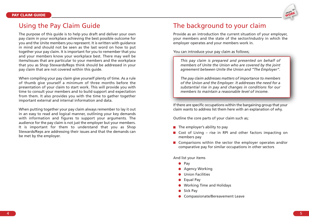

### Using the Pay Claim Guide

The purpose of this guide is to help you draft and deliver your own pay claim in your workplace achieving the best possible outcome for you and the Unite members you represent. It is written with guidance in mind and should not be seen as the last word on how to put together your pay claim. It is important for you to remember that you and your members know your workplace best. There may well be items/issues that are particular to your members and the workplace that you as Shop Stewards/Reps think should be addressed in your pay claim that are not covered within this guide.

When compiling your pay claim give yourself plenty of time. As a rule of thumb give yourself a minimum of three months before the presentation of your claim to start work. This will provide you with time to consult your members and to build support and expectation from them. It also provides you with the time to gather together important external and internal information and data.

When putting together your pay claim always remember to lay it out in an easy to read and logical manner, outlining your key demands with information and figures to support your arguments. The audience for the pay claim is not just the employer but your members. It is important for them to understand that you as Shop Stewards/Reps are addressing their issues and that the demands can be met by the employer.

### The background to your claim

Provide as an introduction the current situation of your employer, your members and the state of the sector/industry in which the employer operates and your members work in.

You can introduce your pay claim as follows;

*This pay claim is prepared and presented on behalf of members of Unite the Union who are covered by the joint agreement between Unite the Union and "The Employer".*

*The pay claim addresses matters of importance to members of the Union and the Employer. It addresses the need for a substantial rise in pay and changes in conditions for our members to maintain a reasonable level of income.*

If there are specific occupations within the bargaining group that your claim wants to address list them here with an explanation of why.

Outline the core parts of your claim such as;

- $\blacksquare$  The employer's ability to pay
- Cost of Living rise in RPI and other factors impacting on members pay
- Comparisons within the sector the employer operates and/or comparative pay for similar occupations in other sectors

And list your items

- $\bullet$  Pay
- **•** Agency Working
- **O** Union Facilities
- Equal Pay
- Working Time and Holidays
- Sick Pay
- **Compassionate/Bereavement Leave**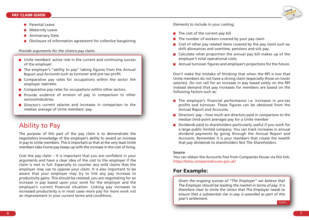#### **PAY CLAIM GUIDE**



- **Parental Leave**
- Maternity Leave
- Anniversary Date
- Disclosure of information agreement for collective bargaining

*Provide arguments for the Unions pay claim;*

- $\blacksquare$  Unite members' active role in the current and continuing success of the employer.
- $\blacksquare$  The employer's "ability to pay" taking figures from the Annual Report and Accounts such as turnover and pre-tax profit.
- $\blacksquare$  Comparative pay rates for occupations within the sector the employer operates.
- $\blacksquare$  Comparative pay rates for occupations within other sectors.
- **Provide evidence of erosion of pay in comparison to other** sectors/industries.
- Director's current salaries and increases in comparison to the median average of Unite members' pay.

## Ability to Pay

The purpose of this part of the pay claim is to demonstrate the negotiators knowledge of the employer's ability to award an increase in pay to Unite members. This is important so that at the very least Unite members take home pay keeps up with the increase in the cost of living.

Cost the pay claim – It is important that you are confident in your arguments and have a clear idea of the cost to the employer if the claim is met in full. Especially to counter any wild claims that the employer may use to oppose your claim. It is also important to be aware that your employer may try to link any pay increase to productivity gains. This should be resisted; you are negotiating for an increase in pay based upon your work for the employer and the employer's current financial situation. Linking pay increases to increased productivity is in most cases more pay for more work not an improvement in your current terms and conditions.

Elements to include in your costing;

- $\blacksquare$  The cost of the current pay bill
- $\blacksquare$  The number of workers covered by your pay claim
- Cost of other pay related items covered by the pay claim such as; shift allowances and overtime, pensions and sick pay.
- $\blacksquare$  Calculate what proportion the annual pay bill makes up of the employer's total operational costs.
- **Annual turnover figures and employer's projections for the future.**

Don't make the mistake of thinking that when the RPI is low that Unite members do not have a strong claim (especially those on lower salaries). Do not call for an increase in pay based solely on the RPI instead demand that pay increases for members are based on the following factors such as:

- $\blacksquare$  The employer's financial performance i.e. increases in pre-tax profits and turnover. These figures can be obtained from the Annual Report and Accounts.
- **Directors' pay how much are directors paid in comparison to the** median (mid-point average) pay for a Unite member
- $\blacksquare$  Dividends paid to shareholders particularly useful if you work for a large public limited company. You can track increases in annual dividend payments by going through the Annual Report and Accounts. Remember it is your members that create the wealth that pay dividends to shareholders *Not The Shareholders*.

### **Source**

You can obtain the Accounts free from Companies House via this link: https://beta.companieshouse.gov.uk/

### **For Example:**

*Given the ongoing success of "The Employer" we believe that The Employer should be leading the market in terms of pay. It is therefore clear to Unite the Union that The Employer needs to ensure that a substantial rise in pay is awarded as part of this year's settlement.*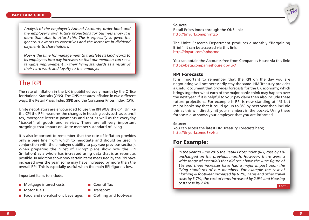*Analysis of the employer's Annual Accounts, order book and the employer's own future projections for business show it is more than able to afford this. This is especially so given the generous awards to executives and the increases in dividend payments to shareholders.*

*Now is the time for management to translate its kind words to its employees into pay increases so that our members can see a tangible improvement in their living standards as a result of their hard work and loyalty to the employer.*

### The RPI

The rate of inflation in the UK is published every month by the Office for National Statistics(ONS). The ONS measuresinflation in two different ways; the Retail Prices Index (RPI) and the Consumer Prices Index (CPI).

Unite negotiators are encouraged to use the RPI *NOT* the CPI. Unlike the CPI the RPI measures the changes in housing costs such as council tax, mortgage interest payments and rent as well as the everyday "basket" of goods and services. These are all very important outgoings that impact on Unite member's standard of living.

It is also important to remember that the rate of inflation provides only a base line from which to negotiate and should be used in conjunction with the employer's ability to pay (see previous section). When preparing the "Cost of Living" piece show how the RPI (inflation) as a whole has increased using data that is as recent as possible. In addition show how certain items measured by the RPI have increased over the year; some may have increased by more than the overall RPI. This is especially useful when the main RPI figure is low.

Important Items to include:

- **Mortgage interest costs Council Tax** 
	-
- Motor fuels **Transport**
- 
- Food and non-alcoholic beverages  $\Box$  Clothing and footwear
- 

#### **Sources:**

Retail Prices Index through the ONS link; http://tinyurl.com/pnrntzo

The Unite Research Department produces a monthly "Bargaining Brief". It can be accessed via this link: http://tinyurl.com/nphqcmc

You can obtain the Accounts free from Companies House via this link: https://beta.companieshouse.gov.uk/

### **RPI Forecasts**

It is important to remember that the RPI on the day you are negotiating will not necessarily stay the same. HM Treasury provides a useful document that provides forecasts for the UK economy; which brings together what each of the major banks think may happen over the next year. If it is helpful to your pay claim then also include these future projections. For example if RPI is now standing at 1% but major banks say that it could go up to 3% by next year then include this as this will directly hit your members in the pocket. Using these forecasts also shows your employer that you are informed.

#### **Source:**

You can access the latest HM Treasury Forecasts here; http://tinyurl.com/o3ks4su

### **For Example:**

Cont... *In the year to June 2015 the Retail Prices Index (RPI) rose by 1% unchanged on the previous month. However, there were a wide range of essentials that did rise above the June figure of 1% and these increases have had a major impact upon the living standards of our members. For example the cost of Clothing & footwear increased by 6.7%, Fares and other travel costs by 3.7%, the cost of rents increased by 2.9% and Housing costs rose by 2.8%.*

**decent PAY**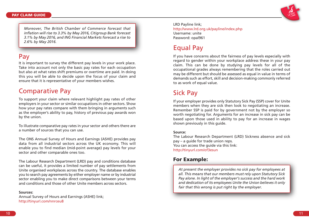

*Moreover, The British Chamber of Commerce forecast that inflation will rise to 3.3% by May 2016, Citigroup Bank forecast 3.1% by May 2016, and ING Financial Markets forecast a rise to 2.6% by May 2016.*

# Pay

It is important to survey the different pay levels in your work place. Take into account not only the basic pay rates for each occupation but also at what rates shift premiums or overtime are paid. In doing this you will be able to decide upon the focus of your claim and ensure that it is representative of your members wishes.

# Comparative Pay

To support your claim where relevant highlight pay rates of other employers in your sector or similar occupations in other sectors. Show how your pay rates compare with them bringing in arguments such as the employer's ability to pay, history of previous pay awards won by the union.

To illustrate comparative pay rates in your sector and others there are a number of sources that you can use.

The ONS Annual Survey of Hours and Earnings (ASHE) provides pay data from all industrial sectors across the UK economy. This will enable you to find median (mid-point average) pay levels for your sector and other comparable ones too.

The Labour Research Department (LRD) pay and conditions database can be useful, it provides a limited number of pay settlements from Unite organised workplaces across the country. The database enables you to search pay agreements by either employer name or by industrial sector enabling you to make direct comparisons between your terms and conditions and those of other Unite members across sectors.

### **Sources:**

Annual Survey of Hours and Earnings (ASHE) link; http://tinyurl.com/nnrceu8

LRD Payline link; http://www.lrd.org.uk/payline/index.php Username: unite Password: opal961

# Equal Pay

If you have concerns about the fairness of pay levels especially with regard to gender within your workplace address these in your pay claim. This can be done by studying pay levels for all of the occupational grades always remembering that the roles carried out may be different but should be assessed as equal in value in terms of demands such as effort, skill and decision-making commonly referred to as work of equal value.

# Sick Pay

If your employer provides only Statutory Sick Pay (SSP) cover for Unite members when they are sick then look to negotiating an increase. Remember SSP is paid for by government not by the employer so worth negotiating for. Arguments for an increase in sick pay can be based upon those used in ability to pay for an increase in wages shown previously in this guide.

### **Source:**

The Labour Research Department (LRD) Sickness absence and sick pay – a guide for trade union reps. You can access the quide via this link: http://tinyurl.com/of3esun

### **For Example:**

*At present the employer provides no sick pay for employees at all. This means that our members must rely upon Statutory Sick Pay alone. In light of the employer's success and the hard work and dedication of its employees Unite the Union believes it only fair that this wrong is put right by the employer.*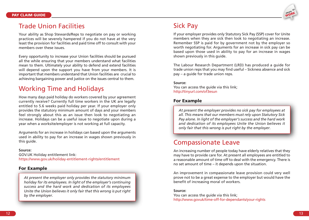

### Trade Union Facilities

Your ability as Shop Stewards/Reps to negotiate on pay or working practices will be severely hampered if you do not have at the very least the provision for facilities and paid time off to consult with your members over these issues.

Every opportunity to increase your Union facilities should be pursued all the while ensuring that your members understand what facilities mean to them. Ultimately your ability to defend and extend facilities will depend upon the support you have from your members. It is important that members understand that Union facilities are crucial to achieving bargaining power and justice on the issues central to them.

## Working Time and Holidays

How many days paid holiday do workers covered by your agreement currently receive? Currently full time workers in the UK are legally entitled to 5.6 weeks paid holiday per year. If your employer only provides the statutory minimum amount of days and your members feel strongly about this as an issue then look to negotiating an increase. Holidays can be a useful issue to negotiate upon during a year when a worksite/employer is not working at full capacity.

Arguments for an increase in holidays can based upon the arguments used in ability to pay for an increase in wages shown previously in this quide.

### **Source:**

GOV.UK Holiday entitlement link: https://www.gov.uk/holiday-entitlement-rights/entitlement

### **For Example**

*At present the employer only provides the statutory minimum holiday for its employees. In light of the employer's continuing success and the hard work and dedication of its employees Unite the Union believes it only fair that this wrong is put right by the employer.*

### Sick Pay

If your employer provides only Statutory Sick Pay (SSP) cover for Unite members when they are sick then look to negotiating an increase. Remember SSP is paid for by government not by the employer so worth negotiating for. Arguments for an increase in sick pay can be based upon those used in ability to pay for an increase in wages shown previously in this guide.

The Labour Research Department (LRD) has produced a guide for trade union reps that you may find useful – Sickness absence and sick pay – a guide for trade union reps.

### **Source:**

You can access the guide via this link; http://tinyurl.com/of3esun

### **For Example**

*At present the employer provides no sick pay for employees at all. This means that our members must rely upon Statutory Sick Pay alone. In light of the employer's success and the hard work and dedication of its employees Unite the Union believes it only fair that this wrong is put right by the employer.*

### Compassionate Leave

An increasing number of people today have elderly relatives that they may have to provide care for. At present all employees are entitled to a reasonable amount of time off to deal with the emergency. There is no set amount of time – it depends upon the situation.

An improvement in compassionate leave provision could very well prove not to be a great expense to the employer but would have the benefit of increasing moral of workers.

#### **Source:**

You can access the guide via this link; http://www.govuk/time-off-for-dependants/your-rights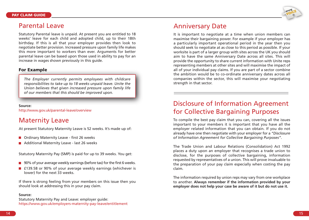

### Parental Leave

Statutory Parental leave is unpaid. At present you are entitled to 18 weeks' leave for each child and adopted child, up to their 18th birthday. If this is all that your employer provides then look to negotiate better provision. Increased pressure upon family life makes this more important to workers than ever. Arguments for better parental leave can be based upon those used in ability to pay for an increase in wages shown previously in this guide.

### **For Example**

*The Employer currently permits employees with childcare responsibilities to take up to 18 weeks unpaid leave. Unite the Union believes that given increased pressure upon family life of our members that this should be improved upon.*

#### **Source:**

http://www.gov.uk/parental-leave/overview

### Maternity Leave

At present Statutory Maternity Leave is 52 weeks. It's made up of:

- **Ordinary Maternity Leave first 26 weeks**
- Additional Maternity Leave last 26 weeks

Statutory Maternity Pay (SMP) is paid for up to 39 weeks. You get:

- 90% of your average weekly earnings (before tax) for the first 6 weeks.
- £139.58 or 90% of your average weekly earnings (whichever is lower) for the next 33 weeks.

If there is strong feeling from your members on this issue then you should look at addressing this in your pay claim.

### **Source:**

Statutory Maternity Pay and Leave: employer guide: https://www.gov.uk/employers-maternity-pay-leave/entitlement

### Anniversary Date

It is important to negotiate at a time when union members can maximise their bargaining power. For example if your employer has a particularly important operational period in the year then you should seek to negotiate at as close to this period as possible. If your worksite is part of a larger group with sites across the UK you should aim to have the same Anniversary Date across all sites. This will provide the opportunity to share current information with Unite reps representing members at other sites and will maximise the impact of all of your individual pay claims. If you are part of a sector combine the ambition would be to co-ordinate anniversary dates across all companies within the sector, this will maximise your negotiating strength in that sector.

### Disclosure of Information Agreement for Collective Bargaining Purposes

To compile the best pay claim that you can, covering all the issues important to your members it is important that you have all the employer related information that you can obtain. If you do not already have one then negotiate with your employer for a *"Disclosure of Information Agreement for Collective Bargaining Purposes"*.

The Trade Union and Labour Relations (Consolidation) Act 1992 places a duty upon an employer that recognises a trade union to disclose, for the purposes of collective bargaining, information requested by representatives of a union. This will prove invaluable to the preparation of your pay claim especially when costing the pay claim.

The information required by union reps may vary from one workplace to another. **Always remember if the information provided by your employer does not help your case be aware of it but do not use it.**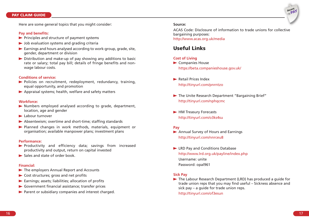### **PAY CLAIM GUIDE**

Here are some general topics that you might consider:

#### **Pay and benefits:**

- $\blacktriangleright$  Principles and structure of payment systems
- $\triangleright$  Job evaluation systems and grading criteria
- $\blacktriangleright$  Earnings and hours analysed according to work-group, grade, site, gender, department or division
- $\triangleright$  Distribution and make-up of pay showing any additions to basic rate or salary; total pay bill; details of fringe benefits and nonwage labour costs.

#### **Conditions of service:**

- Policies on recruitment, redeployment, redundancy, training, equal opportunity, and promotion
- Appraisal systems; health, welfare and safety matters

#### **Workforce:**

- Numbers employed analysed according to grade, department, location, age and gender
- **Labour turnover**
- Absenteeism; overtime and short-time; staffing standards
- Planned changes in work methods, materials, equipment or organisation; available manpower plans; investment plans

#### **Performance:**

- Productivity and efficiency data; savings from increased productivity and output, return on capital invested
- $\blacktriangleright$  Sales and state of order book.

#### **Financial:**

- The employers Annual Report and Accounts
- ▶ Cost structures; gross and net profits
- $\blacktriangleright$  Earnings; assets; liabilities; allocation of profits
- Government financial assistance; transfer prices
- $\blacktriangleright$  Parent or subsidiary companies and interest charged.

#### **Source:**

ACAS Code: Disclosure of information to trade unions for collective bargaining purposes: http://www.acas.org.uk/media

### **Useful Links**

#### **Cost of Living**

- $\blacktriangleright$  Companies House https://beta.companieshouse.gov.uk/
- Retail Prices Index http://tinyurl.com/pnrntzo
- The Unite Research Department "Bargaining Brief" http://tinyurl.com/nphqcmc
- HM Treasury Forecasts http://tinyurl.com/o3ks4su

#### **Pay**

- Annual Survey of Hours and Earnings http://tinyurl.com/nnrceu8
- ▶ LRD Pay and Conditions Database http://www.lrd.org.uk/payline/index.php Username: unite Password: opal961

#### **Sick Pay**

The Labour Research Department (LRD) has produced a guide for trade union reps that you may find useful – Sickness absence and sick pay – a guide for trade union reps.

http://tinyurl.com/of3esun

**decent PAY**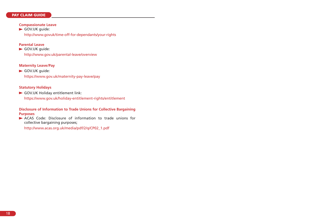### **PAY CLAIM GUIDE**

#### **Compassionate Leave**

GOV.UK quide: http://www.govuk/time-off-for-dependants/your-rights

### **Parental Leave**

GOV.UK quide: http://www.gov.uk/parental-leave/overview

### **Maternity Leave/Pay**

GOV.UK guide: https://www.gov.uk/maternity-pay-leave/pay

### **Statutory Holidays**

GOV.UK Holiday entitlement link:

https://www.gov.uk/holiday-entitlement-rights/entitlement

**Disclosure of Information to Trade Unions for Collective Bargaining Purposes**

ACAS Code: Disclosure of information to trade unions for collective bargaining purposes;

http://www.acas.org.uk/media/pdf/2/q/CP02\_1.pdf